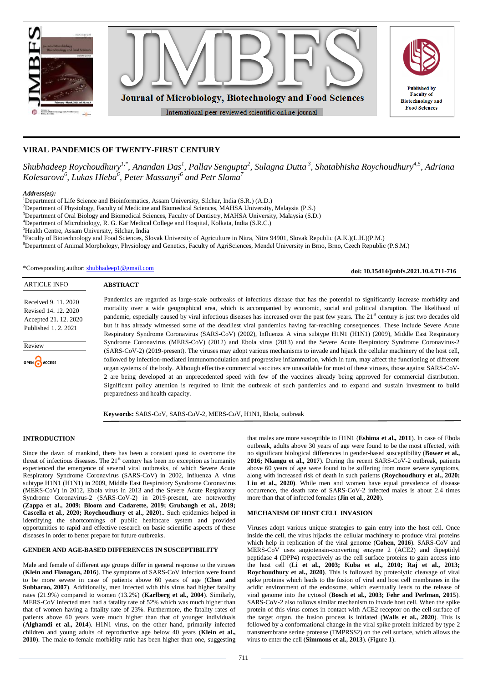

# **VIRAL PANDEMICS OF TWENTY-FIRST CENTURY**

*Shubhadeep Roychoudhury1,\*, Anandan Das<sup>1</sup> , Pallav Sengupta<sup>2</sup> , Sulagna Dutta <sup>3</sup> , Shatabhisha Roychoudhury4,5, Adriana Kolesarova<sup>6</sup> , Lukas Hleba<sup>6</sup> , Peter Massanyi<sup>6</sup> and Petr Slama<sup>7</sup>*

*Address(es):*

<sup>1</sup>Department of Life Science and Bioinformatics, Assam University, Silchar, India (S.R.) (A.D.)

<sup>2</sup>Department of Physiology, Faculty of Medicine and Biomedical Sciences, MAHSA University, Malaysia (P.S.)

<sup>3</sup>Department of Oral Biology and Biomedical Sciences, Faculty of Dentistry, MAHSA University, Malaysia (S.D.)

<sup>4</sup>Department of Microbiology, R. G. Kar Medical College and Hospital, Kolkata, India (S.R.C.)

<sup>5</sup>Health Centre, Assam University, Silchar, India

6 Faculty of Biotechnology and Food Sciences, Slovak University of Agriculture in Nitra, Nitra 94901, Slovak Republic (A.K.)(L.H.)(P.M.)

<sup>8</sup>Department of Animal Morphology, Physiology and Genetics, Faculty of AgriSciences, Mendel University in Brno, Brno, Czech Republic (P.S.M.)

\*Corresponding author: [shubhadeep1@gmail.com](mailto:shubhadeep1@gmail.com)

**doi: 10.15414/jmbfs.2021.10.4.711-716**

#### **ABSTRACT**

Received 9. 11. 2020 Revised 14. 12. 2020 Accepted 21. 12. 2020 Published 1. 2. 2021

ARTICLE INFO

Review OPEN CACCESS Pandemics are regarded as large-scale outbreaks of infectious disease that has the potential to significantly increase morbidity and mortality over a wide geographical area, which is accompanied by economic, social and political disruption. The likelihood of pandemic, especially caused by viral infectious diseases has increased over the past few years. The 21<sup>st</sup> century is just two decades old but it has already witnessed some of the deadliest viral pandemics having far-reaching consequences. These include Severe Acute Respiratory Syndrome Coronavirus (SARS-CoV) (2002), Influenza A virus subtype H1N1 (H1N1) (2009), Middle East Respiratory Syndrome Coronavirus (MERS-CoV) (2012) and Ebola virus (2013) and the Severe Acute Respiratory Syndrome Coronavirus-2 (SARS-CoV-2) (2019-present). The viruses may adopt various mechanisms to invade and hijack the cellular machinery of the host cell, followed by infection-mediated immunomodulation and progressive inflammation, which in turn, may affect the functioning of different organ systems of the body. Although effective commercial vaccines are unavailable for most of these viruses, those against SARS-CoV-2 are being developed at an unprecedented speed with few of the vaccines already being approved for commercial distribution. Significant policy attention is required to limit the outbreak of such pandemics and to expand and sustain investment to build preparedness and health capacity.

**Keywords:** SARS-CoV, SARS-CoV-2, MERS-CoV, H1N1, Ebola, outbreak

### **INTRODUCTION**

Since the dawn of mankind, there has been a constant quest to overcome the threat of infectious diseases. The  $21<sup>st</sup>$  century has been no exception as humanity experienced the emergence of several viral outbreaks, of which Severe Acute Respiratory Syndrome Coronavirus (SARS-CoV) in 2002, Influenza A virus subtype H1N1 (H1N1) in 2009, Middle East Respiratory Syndrome Coronavirus (MERS-CoV) in 2012, Ebola virus in 2013 and the Severe Acute Respiratory Syndrome Coronavirus-2 (SARS-CoV-2) in 2019-present, are noteworthy (**Zappa et al., 2009; Bloom and Cadarette, 2019; Grubaugh et al., 2019; Cascella et al., 2020; Roychoudhury et al., 2020**).. Such epidemics helped in identifying the shortcomings of public healthcare system and provided opportunities to rapid and effective research on basic scientific aspects of these diseases in order to better prepare for future outbreaks.

### **GENDER AND AGE-BASED DIFFERENCES IN SUSCEPTIBILITY**

Male and female of different age groups differ in general response to the viruses (**Klein and Flanagan, 2016**). The symptoms of SARS-CoV infection were found to be more severe in case of patients above 60 years of age (**Chen and Subbarao, 2007**). Additionally, men infected with this virus had higher fatality rates (21.9%) compared to women (13.2%) (**Karlberg et al., 2004**). Similarly, MERS-CoV infected men had a fatality rate of 52% which was much higher than that of women having a fatality rate of 23%. Furthermore, the fatality rates of patients above 60 years were much higher than that of younger individuals (**Alghamdi et al., 2014**). H1N1 virus, on the other hand, primarily infected children and young adults of reproductive age below 40 years (**Klein et al., 2010**). The male-to-female morbidity ratio has been higher than one, suggesting

that males are more susceptible to H1N1 (**Eshima et al., 2011**). In case of Ebola outbreak, adults above 30 years of age were found to be the most effected, with no significant biological differences in gender-based susceptibility (**Bower et al., 2016; Nkangu et al., 2017**). During the recent SARS-CoV-2 outbreak, patients above 60 years of age were found to be suffering from more severe symptoms, along with increased risk of death in such patients (**Roychoudhury et al., 2020; Liu et al., 2020)**. While men and women have equal prevalence of disease occurrence, the death rate of SARS-CoV-2 infected males is about 2.4 times more than that of infected females (**Jin et al., 2020**).

### **MECHANISM OF HOST CELL INVASION**

Viruses adopt various unique strategies to gain entry into the host cell. Once inside the cell, the virus hijacks the cellular machinery to produce viral proteins which help in replication of the viral genome (**Cohen, 2016**). SARS-CoV and MERS-CoV uses angiotensin-converting enzyme 2 (ACE2) and dipeptidyl peptidase 4 (DPP4) respectively as the cell surface proteins to gain access into the host cell (**Li et al., 2003; Kuba et al., 2010; Raj et al., 2013; Roychoudhury et al., 2020)**. This is followed by proteolytic cleavage of viral spike proteins which leads to the fusion of viral and host cell membranes in the acidic environment of the endosome, which eventually leads to the release of viral genome into the cytosol (**Bosch et al., 2003; Fehr and Perlman, 2015**). SARS-CoV-2 also follows similar mechanism to invade host cell. When the spike protein of this virus comes in contact with ACE2 receptor on the cell surface of the target organ, the fusion process is initiated (**Walls et al., 2020**). This is followed by a conformational change in the viral spike protein initiated by type 2 transmembrane serine protease (TMPRSS2) on the cell surface, which allows the virus to enter the cell (**Simmons et al., 2013**). (Figure 1).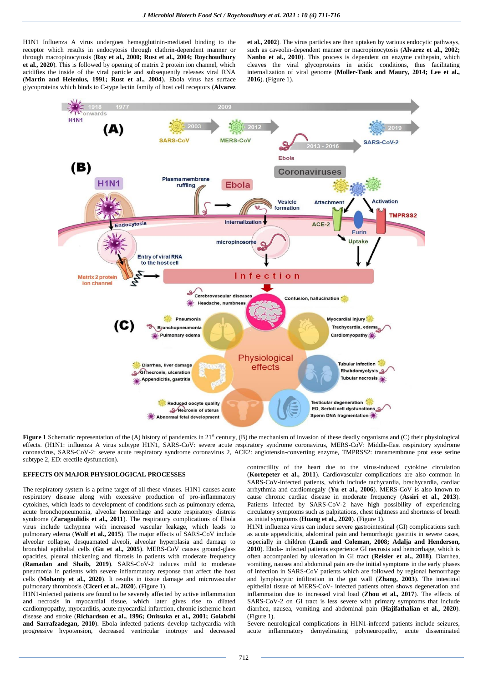H1N1 Influenza A virus undergoes hemagglutinin-mediated binding to the receptor which results in endocytosis through clathrin-dependent manner or through macropinocytosis (**Roy et al., 2000; Rust et al., 2004; Roychoudhury et al., 2020**). This is followed by opening of matrix 2 protein ion channel, which acidifies the inside of the viral particle and subsequently releases viral RNA (**Martin and Helenius, 1991; Rust et al., 2004**). Ebola virus has surface glycoproteins which binds to C-type lectin family of host cell receptors (**Alvarez**  **et al., 2002**). The virus particles are then uptaken by various endocytic pathways, such as caveolin-dependent manner or macropinocytosis (**Alvarez et al., 2002; Nanbo et al., 2010**). This process is dependent on enzyme cathepsin, which cleaves the viral glycoproteins in acidic conditions, thus facilitating internalization of viral genome (**Moller-Tank and Maury, 2014; Lee et al., 2016**). (Figure 1).



Figure 1 Schematic representation of the (A) history of pandemics in 21<sup>st</sup> century, (B) the mechanism of invasion of these deadly organisms and (C) their physiological effects. (H1N1: influenza A virus subtype H1N1, SARS-CoV: severe acute respiratory syndrome coronavirus, MERS-CoV: Middle-East respiratory syndrome coronavirus, SARS-CoV-2: severe acute respiratory syndrome coronavirus 2, ACE2: angiotensin-converting enzyme, TMPRSS2: transmembrane prot ease serine subtype 2, ED: erectile dysfunction).

#### **EFFECTS ON MAJOR PHYSIOLOGICAL PROCESSES**

The respiratory system is a prime target of all these viruses. H1N1 causes acute respiratory disease along with excessive production of pro-inflammatory cytokines, which leads to development of conditions such as pulmonary edema, acute bronchopneumonia, alveolar hemorrhage and acute respiratory distress syndrome (**Zaragoulidis et al., 2011**). The respiratory complications of Ebola virus include tachypnea with increased vascular leakage, which leads to pulmonary edema (**Wolf et al., 2015**). The major effects of SARS-CoV include alveolar collapse, desquamated alveoli, alveolar hyperplasia and damage to bronchial epithelial cells (**Gu et al., 2005**). MERS-CoV causes ground-glass opacities, pleural thickening and fibrosis in patients with moderate frequency (**Ramadan and Shaib, 2019**). SARS-CoV-2 induces mild to moderate pneumonia in patients with severe inflammatory response that affect the host cells (**Mohanty et al., 2020**). It results in tissue damage and microvascular pulmonary thrombosis (**Ciceri et al., 2020**). (Figure 1).

H1N1-infected patients are found to be severely affected by active inflammation and necrosis in myocardial tissue, which later gives rise to dilated cardiomyopathy, myocarditis, acute myocardial infarction, chronic ischemic heart disease and stroke (**Richardson et al., 1996; Onitsuka et al., 2001; Golabchi and Sarrafzadegan, 2010**). Ebola infected patients develop tachycardia with progressive hypotension, decreased ventricular inotropy and decreased contractility of the heart due to the virus-induced cytokine circulation (**Kortepeter et al., 2011**). Cardiovascular complications are also common in SARS-CoV-infected patients, which include tachycardia, brachycardia, cardiac arrhythmia and cardiomegaly (**Yu et al., 2006**). MERS-CoV is also known to cause chronic cardiac disease in moderate frequency (**Assiri et al., 2013**). Patients infected by SARS-CoV-2 have high possibility of experiencing circulatory symptoms such as palpitations, chest tightness and shortness of breath as initial symptoms (**Huang et al., 2020**). (Figure 1).

H1N1 influenza virus can induce severe gastrointestinal (GI) complications such as acute appendicitis, abdominal pain and hemorrhagic gastritis in severe cases, especially in children (**Landi and Coleman, 2008; Adalja and Henderson, 2010**). Ebola- infected patients experience GI necrosis and hemorrhage, which is often accompanied by ulceration in GI tract (**Reisler et al., 2018**). Diarrhea, vomiting, nausea and abdominal pain are the initial symptoms in the early phases of infection in SARS-CoV patients which are followed by regional hemorrhage and lymphocytic infiltration in the gut wall (**Zhang, 2003**). The intestinal epithelial tissue of MERS-CoV- infected patients often shows degeneration and inflammation due to increased viral load (**Zhou et al., 2017**). The effects of SARS-CoV-2 on GI tract is less severe with primary symptoms that include diarrhea, nausea, vomiting and abdominal pain (**Hajifathalian et al., 2020**). (Figure 1).

Severe neurological complications in H1N1-infecetd patients include seizures, acute inflammatory demyelinating polyneuropathy, acute disseminated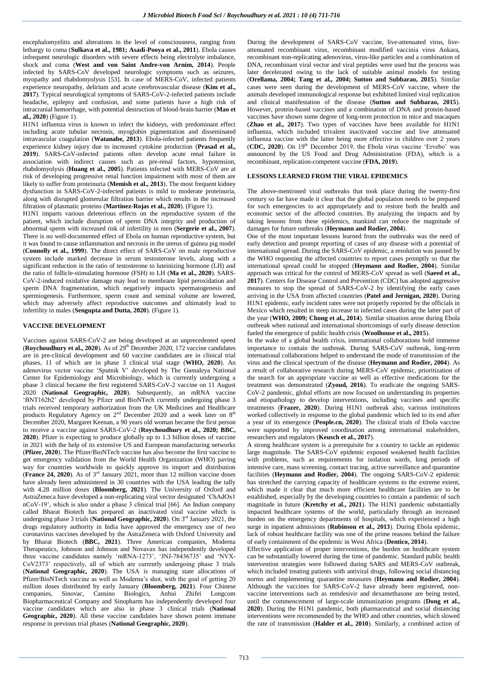encephalomyelitis and alterations in the level of consciousness, ranging from lethargy to coma (**Sulkava et al., 1981; Asadi-Pooya et al., 2011**). Ebola causes infrequent neurologic disorders with severe effects being electrolyte imbalance, shock and coma (**West and von Saint Andre-von Arnim, 2014**). People infected by SARS-CoV developed neurologic symptoms such as seizures, myopathy and rhabdomyolysis [53]. In case of MERS-CoV, infected patients experience neuropathy, delirium and acute cerebrovascular disease (**Kim et al., 2017**). Typical neurological symptoms of SARS-CoV-2-infected patients include headache, epilepsy and confusion, and some patients have a high risk of intracranial hemorrhage, with potential destruction of blood-brain barrier (**Mao et al., 2020**) (Figure 1).

H1N1 influenza virus is known to infect the kidneys, with predominant effect including acute tubular necrosis, myoglobin pigmentation and disseminated intravascular coagulation (**Watanabe, 2013**). Ebola-infected patients frequently experience kidney injury due to increased cytokine production (**Prasad et al., 2019**). SARS-CoV-infected patients often develop acute renal failure in association with indirect causes such as pre-renal factors, hypotension, rhabdomyolysis (**Huang et al., 2005**). Patients infected with MERS-CoV are at risk of developing progressive renal function impairment with most of them are likely to suffer from proteinuria (**Memish et al., 2013**). The most frequent kidney dysfunction in SARS-CoV-2-infected patients is mild to moderate proteinuria, along with disrupted glomerular filtration barrier which results in the increased filtration of plasmatic proteins (**Martinez-Rojas et al., 2020**). (Figure 1).

H1N1 imparts various deleterious effects on the reproductive system of the patient, which include disruption of sperm DNA integrity and production of abnormal sperm with increased risk of infertility in men (**Sergerie et al., 2007**). There is no well-documented effect of Ebola on human reproductive system, but it was found to cause inflammation and necrosis in the uterus of guinea pig model (**Connolly et al., 1999**). The direct effect of SARS-CoV on male reproductive system include marked decrease in serum testosterone levels, along with a significant reduction in the ratio of testosterone to luteinizing hormone (LH) and the ratio of follicle-stimulating hormone (FSH) to LH (**Ma et al., 2020**). SARS-CoV-2-induced oxidative damage may lead to membrane lipid peroxidation and sperm DNA fragmentation, which negatively impacts spermatogenesis and spermiogenesis. Furthermore, sperm count and seminal volume are lowered, which may adversely affect reproductive outcomes and ultimately lead to infertility in males (**Sengupta and Dutta, 2020**). (Figure 1).

#### **VACCINE DEVELOPMENT**

Vaccines against SARS-CoV-2 are being developed at an unprecedented speed (**Roychoudhury et al., 2020**). As of 29<sup>th</sup> December 2020, 172 vaccine candidates are in pre-clinical development and 60 vaccine candidates are in clinical trial phases, 11 of which are in phase 3 clinical trial stage (**WHO, 2020**). An adenovirus vector vaccine 'Sputnik V' developed by The Gamaleya National Center for Epidemiology and Microbiology, which is currently undergoing a phase 3 clinical became the first registered SARS-CoV-2 vaccine on 11 August 2020 (**National Geographic, 2020**). Subsequently, an mRNA vaccine 'BNT162b2' developed by Pfizer and BioNTech currently undergoing phase 3 trials received temporary authorization from the UK Medicines and Healthcare products Regulatory Agency on  $2<sup>nd</sup>$  December 2020 and a week later on  $8<sup>th</sup>$ December 2020, Margaret Keenan, a 90 years old woman became the first person to receive a vaccine against SARS-CoV-2 (**Roychoudhury et al., 2020; BBC, 2020**). Pfizer is expecting to produce globally up to 1.3 billion doses of vaccine in 2021 with the help of its extensive US and European manufacturing networks (**Pfizer, 2020**). The Pfizer/BioNTech vaccine has also become the first vaccine to get emergency validation from the World Health Organization (WHO) paving way for countries worldwide to quickly approve its import and distribution (**France 24, 2020**). As of 3rd January 2021, more than 12 million vaccine doses have already been administered in 30 countries with the USA leading the tally with 4.28 million doses (**Bloomberg, 2021**). The University of Oxford and AstraZeneca have developed a non-replicating viral vector designated 'ChAdOx1 nCoV-19', which is also under a phase 3 clinical trial [66]. An Indian company called Bharat Biotech has prepared an inactivated viral vaccine which is undergoing phase 3 trials (**National Geographic, 2020**). On 3rd January 2021, the drugs regulatory authority in India have approved the emergency use of two coronavirus vaccines developed by the AstraZeneca with Oxford University and by Bharat Biotech (**BBC, 2021**). Three American companies, Moderna Therapeutics, Johnson and Johnson and Novavax has independently developed three vaccine candidates namely 'mRNA-1273', 'JNJ-78436735' and 'NVX-CoV2373' respectively, all of which are currently undergoing phase 3 trials (**National Geographic, 2020**). The USA is managing state allocations of Pfizer/BioNTech vaccine as well as Moderna's shot, with the goal of getting 20 million doses distributed by early January (**Bloomberg, 2021**). Four Chinese companies, Sinovac, Cansino Biologics, Anhui Zhifei Longcom Biopharmaceutical Company and Sinopharm has independently developed four vaccine candidates which are also in phase 3 clinical trials (**National Geographic, 2020**). All these vaccine candidates have shown potent immune response in previous trial phases (**National Geographic, 2020**).

During the development of SARS-CoV vaccine, live-attenuated virus, liveattenuated recombinant virus, recombinant modified vaccinia virus Ankara, recombinant non-replicating adenovirus, virus-like particles and a combination of DNA, recombinant viral vector and viral peptides were used but the process was later decelerated owing to the lack of suitable animal models for testing (**Orellama, 2004; Tang et al., 2004; Sutton and Subbarao, 2015**). Similar cases were seen during the development of MERS-CoV vaccine, where the animals developed immunological response but exhibited limited viral replication and clinical manifestation of the disease (**Sutton and Subbarao, 2015**). However, protein-based vaccines and a combination of DNA and protein-based vaccines have shown some degree of long-term protection in mice and macaques (**Zhao et al., 2017**). Two types of vaccines have been available for H1N1 influenza, which included trivalent inactivated vaccine and live attenuated influenza vaccine with the latter being more effective in children over 2 years (CDC, 2020). On 19<sup>th</sup> December 2019, the Ebola virus vaccine 'Ervebo' was announced by the US Food and Drug Administration (FDA), which is a recombinant, replication-competent vaccine (**FDA, 2019**).

#### **LESSONS LEARNED FROM THE VIRAL EPIDEMICS**

The above-mentioned viral outbreaks that took place during the twenty-first century so far have made it clear that the global population needs to be prepared for such emergencies to act appropriately and to restore both the health and economic sector of the affected countries. By analyzing the impacts and by taking lessons from these epidemics, mankind can reduce the magnitude of damages for future outbreaks (**Heymann and Rodier, 2004**).

One of the most important lessons learned from the outbreaks was the need of early detection and prompt reporting of cases of any disease with a potential of international spread. During the SARS-CoV epidemic, a resolution was passed by the WHO requesting the affected countries to report cases promptly so that the international spread could be stopped (**Heymann and Rodier, 2004**). Similar approach was critical for the control of MERS-CoV spread as well (**Saeed et al., 2017**). Centers for Disease Control and Prevention (CDC) has adopted aggressive measures to stop the spread of SARS-CoV-2 by identifying the early cases arriving in the USA from affected countries (**Patel and Jernigan, 2020**). During H1N1 epidemic, early incident rates were not properly reported by the officials in Mexico which resulted in steep increase in infected cases during the latter part of the year (**WHO, 2009; Chong et al., 2014**). Similar situation arose during Ebola outbreak when national and international shortcomings of early disease detection fueled the emergence of public health crisis (**Woolhouse et al., 2015**).

In the wake of a global health crisis, international collaborations hold immense importance to contain the outbreak. During SARS-CoV outbreak, long-term international collaborations helped to understand the mode of transmission of the virus and the clinical spectrum of the disease (**Heymann and Rodier, 2004**). As a result of collaborative research during MERS-CoV epidemic, prioritization of the search for an appropriate vaccine as well as effective medications for the treatment was demonstrated (**Zyoud, 2016**). To eradicate the ongoing SARS-CoV-2 pandemic, global efforts are now focused on understanding its properties and etiopathology to develop interventions, including vaccines and specific treatments (**Frazer, 2020**). During H1N1 outbreak also, various institutions worked collectively in response to the global pandemic which led to its end after a year of its emergence (**People.cn, 2020**). The clinical trials of Ebola vaccine were supported by improved coordination among international stakeholders, researchers and regulators (**Keusch et al., 2017**).

A strong healthcare system is a prerequisite for a country to tackle an epidemic large magnitude. The SARS-CoV epidemic exposed weakened health facilities with problems, such as requirements for isolation wards, long periods of intensive care, mass screening, contact tracing, active surveillance and quarantine facilities (**Heymann and Rodier, 2004**). The ongoing SARS-CoV-2 epidemic has stretched the carrying capacity of healthcare systems to the extreme extent, which made it clear that much more efficient healthcare facilities are to be established, especially by the developing countries to contain a pandemic of such magnitude in future (**Kretchy et al., 2021**). The H1N1 pandemic substantially impacted healthcare systems of the world, particularly through an increased burden on the emergency departments of hospitals, which experienced a high surge in inpatient admissions (**Rubinson et al., 2013**). During Ebola epidemic, lack of robust healthcare facility was one of the prime reasons behind the failure of early containment of the epidemic in West Africa (**Dentico, 2014**).

Effective application of proper interventions, the burden on healthcare system can be substantially lowered during the time of pandemic. Standard public health intervention strategies were followed during SARS and MERS-CoV outbreak, which included treating patients with antiviral drugs, following social distancing norms and implementing quarantine measures (**Heymann and Rodier, 2004**). Although the vaccines for SARS-CoV-2 have already been registered, nonvaccine interventions such as remdesivir and dexamethasone are being tested, until the commencement of large-scale immunization programs (**Dong et al., 2020**). During the H1N1 pandemic, both pharmaceutical and social distancing interventions were recommended by the WHO and other countries, which slowed the rate of transmission (**Halder et al., 2010**). Similarly, a combined action of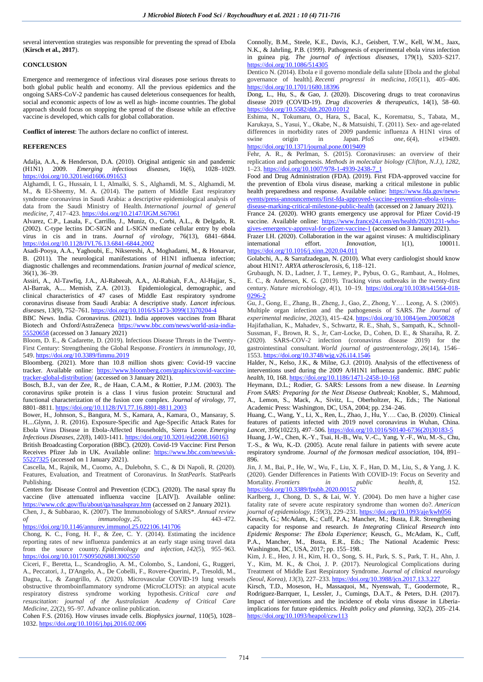several intervention strategies was responsible for preventing the spread of Ebola (**Kirsch et al., 2017**).

#### **CONCLUSION**

Emergence and reemergence of infectious viral diseases pose serious threats to both global public health and economy. All the previous epidemics and the ongoing SARS-CoV-2 pandemic has caused deleterious consequences for health, social and economic aspects of low as well as high- income countries. The global approach should focus on stopping the spread of the disease while an effective vaccine is developed, which calls for global collaboration.

**Conflict of interest**: The authors declare no conflict of interest.

#### **REFERENCES**

Adalja, A.A., & Henderson, D.A. (2010). Original antigenic sin and pandemic (H1N1) 2009. *Emerging infectious diseases,* 16(6), 1028–1029. <https://doi.org/10.3201/eid1606.091653>

Alghamdi, I. G., Hussain, I. I., Almalki, S. S., Alghamdi, M. S., Alghamdi, M. M., & El-Sheemy, M. A. (2014). The pattern of Middle East respiratory syndrome coronavirus in Saudi Arabia: a descriptive epidemiological analysis of data from the Saudi Ministry of Health. *International journal of general medicine*, *7*, 417–423[. https://doi.org/10.2147/IJGM.S67061](https://doi.org/10.2147/IJGM.S67061)

Alvarez, C.P., Lasala, F., Carrillo, J., Muniz, O., Corbi, A.L., & Delgado, R. (2002). C-type lectins DC-SIGN and L-SIGN mediate cellular entry by ebola virus in cis and in trans. *Journal of virology,* 76(13), 6841–6844. <https://doi.org/10.1128/JVI.76.13.6841-6844.2002>

Asadi-Pooya, A.A., Yaghoubi, E., Niksereshi, A., Moghadami, M., & Honarvar, B. (2011). The neurological manifestations of H1N1 influenza infection; diagnostic challenges and recommendations. *Iranian journal of medical science,* 36(1), 36–39.

Assiri, A., Al-Tawfiq, J.A., Al-Rabeeah, A.A., Al-Rabiah, F.A., Al-Hajjar, S., Al-Barrak, A.... Memish, Z.A. (2013). Epidemiological, demographic, and clinical characteristics of 47 cases of Middle East respiratory syndrome coronavirus disease from Saudi Arabia: A descriptive study. *Lancet infecious. diseases,* 13(9), 752–761[. https://doi.org/10.1016/S1473-3099\(13\)70204-4](https://doi.org/10.1016/S1473-3099(13)70204-4)

BBC News. India. Coronavirus. (2021). India approves vaccines from Bharat Biotech and Oxford/AstraZeneca [https://www.bbc.com/news/world-asia-india-](https://www.bbc.com/news/world-asia-india-55520658)[55520658](https://www.bbc.com/news/world-asia-india-55520658) (accessed on 3 January 2021)

Bloom, D. E., & Cadarette, D. (2019). Infectious Disease Threats in the Twenty-First Century: Strengthening the Global Response. *Frontiers in immunology*, *10*, 549[. https://doi.org/10.3389/fimmu.2019](https://doi.org/10.3389/fimmu.2019)

Bloomberg. (2021). More than 10.8 million shots given: Covid-19 vaccine tracker. Available online: [https://www.bloomberg.com/graphics/covid-vaccine](about:blank)[tracker-global-distribution/](about:blank) (accessed on 3 January 2021).

Bosch, B.J., van der Zee, R., de Haan, C.A.M., & Rottier, P.J.M. (2003). The coronavirus spike protein is a class I virus fusion protein: Structural and functional characterization of the fusion core complex. *Journal of virology,* 77, 8801–8811[. https://doi.org/10.1128/JVI.77.16.8801-8811.2003](https://doi.org/10.1128/JVI.77.16.8801-8811.2003)

Bower, H., Johnson, S., Bangura, M. S., Kamara, A., Kamara, O., Mansaray, S. H....Glynn, J. R. (2016). Exposure-Specific and Age-Specific Attack Rates for Ebola Virus Disease in Ebola-Affected Households, Sierra Leone. *Emerging Infectious Diseases*, *22*(8), 1403-1411[. https://doi.org/10.3201/eid2208.160163](https://doi.org/10.3201/eid2208.160163)

British Broadcasting Corporation (BBC). (2020). Covid-19 Vaccine: First Person Receives Pfizer Jab in UK. Available online: [https://www.bbc.com/news/uk-](about:blank)[55227325](about:blank) (accessed on 1 January 2021).

Cascella, M., Rajnik, M., Cuomo, A., Dulebohn, S. C., & Di Napoli, R. (2020). Features, Evaluation, and Treatment of Coronavirus. In *StatPearls*. StatPearls Publishing.

Centers for Disease Control and Prevention (CDC). (2020). The nasal spray flu vaccine (live attenuated influenza vaccine [LAIV]). Available online: [https://www.cdc.gov/flu/about/qa/nasalspray.htm](about:blank) (accessed on 2 January 2021).

Chen, J., & Subbarao, K. (2007). The Immunobiology of SARS\*. *Annual review of immunology*, *25*, 443–472. <https://doi.org/10.1146/annurev.immunol.25.022106.141706>

Chong, K. C., Fong, H. F., & Zee, C. Y. (2014). Estimating the incidence reporting rates of new influenza pandemics at an early stage using travel data from the source country. *Epidemiology and infection*, *142*(5), 955–963. <https://doi.org/10.1017/S0950268813002550>

Ciceri, F., Beretta, L., Scandroglio, A. M., Colombo, S., Landoni, G., Ruggeri, A., Peccatori, J., D'Angelo, A., De Cobelli, F., Rovere-Querini, P., Tresoldi, M., Dagna, L., & Zangrillo, A. (2020). Microvascular COVID-19 lung vessels obstructive thromboinflammatory syndrome (MicroCLOTS): an atypical acute respiratory distress syndrome working hypothesis. *Critical care and resuscitation: journal of the Australasian Academy of Critical Care Medicine*, *22*(2), 95–97. Advance online publication.

Cohen F.S. (2016). How viruses invade cells. *Biophysics journal*, 110(5), 1028– 1032[. https://doi.org/10.1016/j.bpj.2016.02.006](https://doi.org/10.1016/j.bpj.2016.02.006)

Connolly, B.M., Steele, K.E., Davis, K.J., Geisbert, T.W., Kell, W.M., Jaax, N.K., & Jahrling, P.B. (1999). Pathogenesis of experimental ebola virus infection in guinea pig. *The journal of infectious diseases,* 179(1), S203–S217. <https://doi.org/10.1086/514305>

Dentico N. (2014). Ebola e il governo mondiale della salute [Ebola and the global governance of health]. *Recenti progressi in medicina*, *105*(11), 405–406. <https://doi.org/10.1701/1680.18396>

Dong, L., Hu, S., & Gao, J. (2020). Discovering drugs to treat coronavirus disease 2019 (COVID-19). *Drug discoveries & therapeutics,* 14(1), 58–60. <https://doi.org/10.5582/ddt.2020.01012>

Eshima, N., Tokumaru, O., Hara, S., Bacal, K., Korematsu, S., Tabata, M., Karukaya, S., Yasui, Y., Okabe, N., & Matsuishi, T. (2011). Sex- and age-related differences in morbidity rates of 2009 pandemic influenza A H1N1 virus of swine origin in Japan  $PloS$  one 6(4) e19409. swine origin in Japan. *PloS one*, *6*(4), e19409. <https://doi.org/10.1371/journal.pone.0019409>

Fehr, A. R., & Perlman, S. (2015). Coronaviruses: an overview of their replication and pathogenesis. *Methods in molecular biology (Clifton, N.J.)*, *1282*, 1–23[. https://doi.org/10.1007/978-1-4939-2438-7\\_1](https://doi.org/10.1007/978-1-4939-2438-7_1)

Food and Drug Administration (FDA). (2019). First FDA-approved vaccine for the prevention of Ebola virus disease, marking a critical milestone in public health preparedness and response. Available online: [https://www.fda.gov/news](about:blank)[events/press-announcements/first-fda-approved-vaccine-prevention-ebola-virus](about:blank)[disease-marking-critical-milestone-public-health](about:blank) (accessed on 2 January 2021).

France 24. (2020). WHO grants emergency use approval for Pfizer Covid-19 vaccine. Available online: [https://www.france24.com/en/health/20201231-who](about:blank)[gives-emergency-approval-for-pfizer-vaccine-1](about:blank) (accessed on 3 January 2021).

Frazer I.H. (2020). Collaboration in the war against viruses: A multidisciplinary international effort. *Innovation*, 1(1), 100011. international effort. *Innovation*, 1(1), <https://doi.org/10.1016/j.xinn.2020.04.011>

Golabchi, A., & Sarrafzadegan, N. (2010). What every cardiologist should know about H1N1?. *ARYA atherosclerosis,* 6, 118–121.

Grubaugh, N. D., Ladner, J. T., Lemey, P., Pybus, O. G., Rambaut, A., Holmes, E. C., & Andersen, K. G. (2019). Tracking virus outbreaks in the twenty-first century. *Nature microbiology*, *4*(1), 10–19. [https://doi.org/10.1038/s41564-018-](https://doi.org/10.1038/s41564-018-0296-2) [0296-2](https://doi.org/10.1038/s41564-018-0296-2)

Gu, J., Gong, E., Zhang, B., Zheng, J., Gao, Z., Zhong, Y.… Leong, A. S. (2005). Multiple organ infection and the pathogenesis of SARS. *The Journal of experimental medicine*, *202*(3), 415–424[. https://doi.org/10.1084/jem.20050828](https://doi.org/10.1084/jem.20050828)

Hajifathalian, K., Mahadev, S., Schwartz, R. E., Shah, S., Sampath, K., Schnoll-Sussman, F., Brown, R. S., Jr, Carr-Locke, D., Cohen, D. E., & Sharaiha, R. Z. (2020). SARS-COV-2 infection (coronavirus disease 2019) for the gastrointestinal consultant. *World journal of gastroenterology*, *26*(14), 1546– 1553[. https://doi.org/10.3748/wjg.v26.i14.1546](https://doi.org/10.3748/wjg.v26.i14.1546)

Halder, N., Kelso, J.K., & Milne, G.J. (2010). Analysis of the effectiveness of interventions used during the 2009 A/H1N1 influenza pandemic. *BMC public health,* 10, 168[. https://doi.org/10.1186/1471-2458-10-168](https://doi.org/10.1186/1471-2458-10-168)

Heymann, D.L.; Rodier, G. SARS: Lessons from a new disease. In *Learning From SARS: Preparing for the Next Disease Outbreak*; Knobler, S., Mahmoud, A., Lemon, S., Mack, A., Sivitz, L., Oberholtzer, K., Eds.; The National Academic Press: Washington, DC, USA, 2004; pp. 234–246.

Huang, C., Wang, Y., Li, X., Ren, L., Zhao, J., Hu, Y…. Cao, B. (2020). Clinical features of patients infected with 2019 novel coronavirus in Wuhan, China. *Lancet*, 395(10223), 497–506[. https://doi.org/10.1016/S0140-6736\(20\)30183-5](https://doi.org/10.1016/S0140-6736(20)30183-5)

Huang, J.-W., Chen, K.-Y., Tsai, H.-B., Wu, V.-C., Yang, Y.-F., Wu, M.-S., Chu, T.-S., & Wu, K.-D. (2005). Acute renal failure in patients with severe acute respiratory syndrome. *Journal of the formosan medical association,* 104, 891– 896.

Jin, J. M., Bai, P., He, W., Wu, F., Liu, X. F., Han, D. M., Liu, S., & Yang, J. K. (2020). Gender Differences in Patients With COVID-19: Focus on Severity and Mortality. *Frontiers in public health*, 8, 152.  $M$ ortality. *Frontiers* 

<https://doi.org/10.3389/fpubh.2020.00152>

Karlberg, J., Chong, D. S., & Lai, W. Y. (2004). Do men have a higher case fatality rate of severe acute respiratory syndrome than women do?. *American journal of epidemiology*, *159*(3), 229–231[. https://doi.org/10.1093/aje/kwh056](https://doi.org/10.1093/aje/kwh056)

Keusch, G.; McAdam, K.; Cuff, P.A.; Mancher, M.; Busta, E.R. Strengthening capacity for response and research. *In Integrating Clinical Research into Epidemic Response: The Ebola Experience*; Keusch, G., McAdam, K., Cuff, P.A., Mancher, M., Busta, E.R., Eds.; The National Academic Press: Washington, DC, USA, 2017; pp. 155–198.

Kim, J. E., Heo, J. H., Kim, H. O., Song, S. H., Park, S. S., Park, T. H., Ahn, J. Y., Kim, M. K., & Choi, J. P. (2017). Neurological Complications during Treatment of Middle East Respiratory Syndrome. *Journal of clinical neurology (Seoul, Korea)*, *13*(3), 227–233[. https://doi.org/10.3988/jcn.2017.13.3.227](https://doi.org/10.3988/jcn.2017.13.3.227)

Kirsch, T.D., Moseson, H., Massaquoi, M., Nyenswah, T., Goodermote, R., Rodriguez-Barrquer, I., Lessler, J., Cumings, D.A.T., & Peters, D.H. (2017). Impact of interventions and the incidence of ebola virus disease in Liberiaimplications for future epidemics. *Health policy and planning,* 32(2), 205–214. <https://doi.org/10.1093/heapol/czw113>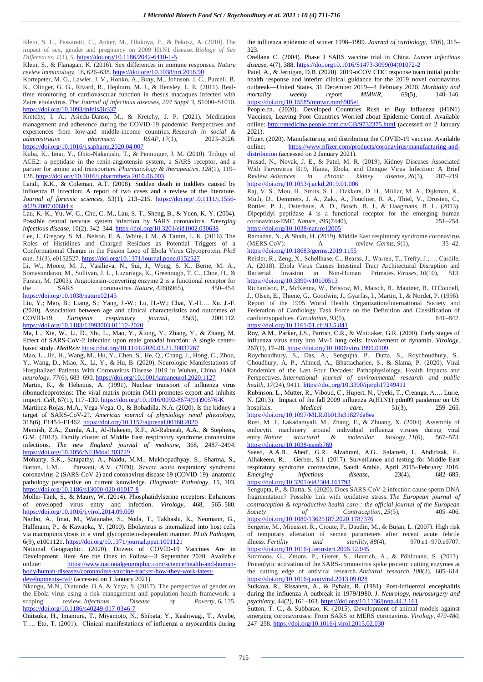Klein, S. L., Passaretti, C., Anker, M., Olukoya, P., & Pekosz, A. (2010). The impact of sex, gender and pregnancy on 2009 H1N1 disease. *Biology of Sex Differences*, *1*(1), 5. <https://doi.org/10.1186/2042-6410-1-5>

Klein, S., & Flanagan, K. (2016). Sex differences in immune responses. *Nature review immunology,* 16**,** 626–638[. https://doi.org/10.1038/nri.2016.90](https://doi.org/10.1038/nri.2016.90)

Kortepeter, M. G., Lawler, J. V., Honko, A., Bray, M., Johnson, J. C., Purcell, B. K., Olinger, G. G., Rivard, R., Hepburn, M. J., & Hensley, L. E. (2011). Realtime monitoring of cardiovascular function in rhesus macaques infected with Zaire ebolavirus. *The Journal of infectious diseases*, *204 Suppl 3*, S1000–S1010. <https://doi.org/10.1093/infdis/jir337>

Kretchy, I. A., Asiedu-Danso, M., & Kretchy, J. P. (2021). Medication management and adherence during the COVID-19 pandemic: Perspectives and experiences from low-and middle-income countries. *Research in social & administrative pharmacy: RSAP*, *17*(1), 2023–2026. <https://doi.org/10.1016/j.sapharm.2020.04.007>

Kuba, K., Imai, Y., Ohto-Nakanishi, T., & Penninger, J. M. (2010). Trilogy of ACE2: a peptidase in the renin-angiotensin system, a SARS receptor, and a partner for amino acid transporters. *Pharmacology & therapeutics*, *128*(1), 119– 128[. https://doi.org/10.1016/j.pharmthera.2010.06.003](https://doi.org/10.1016/j.pharmthera.2010.06.003)

Landi, K.K., & Coleman, A.T. (2008). Sudden death in toddlers caused by influenza B infection: A report of two cases and a review of the literature. *Journal of forensic sciences,* 53(1), 213–215. [https://doi.org/10.1111/j.1556-](https://doi.org/10.1111/j.1556-4029.2007.00604.x) [4029.2007.00604.x](https://doi.org/10.1111/j.1556-4029.2007.00604.x)

Lau, K.-K., Yu, W.-C., Chu, C.-M., Lau, S.-T., Sheng, B., & Yuen, K.-Y. (2004). Possible central nervous system infection by SARS coronavirus. *Emerging infectious disease,* 10(2), 342–344[. https://doi.org/10.3201/eid1002.030638](https://doi.org/10.3201/eid1002.030638)

Lee, J., Gregory, S. M., Nelson, E. A., White, J. M., & Tamm, L. K. (2016). The Roles of Histidines and Charged Residues as Potential Triggers of a Conformational Change in the Fusion Loop of Ebola Virus Glycoprotein. *PloS one*, *11*(3), e0152527.<https://doi.org/10.1371/journal.pone.0152527>

Li, W., Moore, M. J., Vasilieva, N., Sui, J., Wong, S. K., Berne, M. A., Somasundaran, M., Sullivan, J. L., Luzuriaga, K., Greenough, T. C., Choe, H., & Farzan, M. (2003). Angiotensin-converting enzyme 2 is a functional receptor for the SARS coronavirus. Nature,  $426(6965)$ , 450–454. the SARS coronavirus. *Nature*, 426(6965), <https://doi.org/10.1038/nature02145>

Liu, Y.; Mao, B.; Liang, S.; Yang, J.-W.; Lu, H.-W.; Chai, Y.-H…. Xu, J.-F. (2020). Association between age and clinical characteristics and outcomes of COVID-19. *European respiratory journal,* 55(5), 2001112. <https://doi.org/10.1183/13993003.01112-2020>

Ma, L., Xie, W., Li, D., Shi, L., Mao, Y., Xiong, Y., Zhang, Y., & Zhang, M. Effect of SARS-CoV-2 infection upon male gonadal function: A single centerbased study. *MedRxiv* <https://doi.org/10.1101/2020.03.21.20037267>

Mao, L., Jin, H., Wang, M., Hu, Y., Chen, S., He, Q., Chang, J., Hong, C., Zhou, Y., Wang, D., Miao, X., Li, Y., & Hu, B. (2020). Neurologic Manifestations of Hospitalized Patients With Coronavirus Disease 2019 in Wuhan, China. *JAMA neurology*, *77*(6), 683–690[. https://doi.org/10.1001/jamaneurol.2020.1127](https://doi.org/10.1001/jamaneurol.2020.1127)

Martin, K., & Helenius, A. (1991). Nuclear transport of influenza virus ribonucleoproteins: The viral matrix protein (M1) promotes export and inhibits import. *Cell*, 67(1), 117–130[. https://doi.org/10.1016/0092-8674\(91\)90576-K](https://doi.org/10.1016/0092-8674(91)90576-K)

Martinez-Rojas, M.A., Vega-Vega, O., & Bobadilla, N.A. (2020). Is the kidney a target of SARS-CoV-2?. *American journal of physiology renal physiology,*  318(6), F1454–F1462[. https://doi.org/10.1152/ajprenal.00160.2020](https://doi.org/10.1152/ajprenal.00160.2020)

Memish, Z.A., Zumla, A.I., Al-Hakeem, R.F., Al-Rabeeah, A.A., & Stephens, G.M. (2013). Family cluster of Middle East respiratory syndrome coronavirus infections. *The new England journal of medicine,* 368, 2487–2494. <https://doi.org/10.1056/NEJMoa1303729>

Mohanty, S.K., Satapathy, A., Naidu, M.M., Mukhopadhyay, S., Sharma, S., Barton, L.M…. Parwani, A.V. (2020). Severe acute respiratory syndrome coronavirus-2 (SARS-CoV-2) and coronavirus disease 19 (COVID-19)- anatomic pathology perspective on current knowledge. *Diagnostic Pathology*, 15, 103. <https://doi.org/10.1186/s13000-020-01017-8>

Moller-Tank, S., & Maury, W. (2014). Phosphatidylserine receptors: Enhancers of enveloped virus entry and infection. *Virology*, 468, 565–580. <https://doi.org/10.1016/j.virol.2014.09.009>

Nanbo, A., Imai, M., Watanabe, S., Noda, T., Takhashi, K., Neumann, G., Halfmann, P., & Kawaoka, Y. (2010). Ebolavirus is internalized into host cells via macropinocytosis in a viral glycoprotein-dependent manner. *PLoS Pathogen,*  6(9), e1001121[. https://doi.org/10.1371/journal.ppat.1001121](https://doi.org/10.1371/journal.ppat.1001121)

National Geographic. (2020). Dozens of COVID-19 Vaccines Are in Development. Here Are the Ones to Follow—3 September 2020. Available [https://www.nationalgeographic.com/science/health-and-human](about:blank)[body/human-diseases/coronavirus-vaccine-tracker-how-they-work-latest](about:blank)[developments-cvd/](about:blank) (accessed on 1 January 2021).

Nkangu, M.N., Olatunde, O.A. & Yaya, S. (2017). The perspective of gender on the Ebola virus using a risk management and population health framework: a scoping review. *Infectious Disease of Poverty,* 6**,** 135. <https://doi.org/10.1186/s40249-017-0346-7>

Onitsuka, H., Imamura, T., Miyamoto, N., Shibata, Y., Kashiwagi, T., Ayabe, T…. Eto, T. (2001). Clinical manifestations of influenza a myocarditis during

the influenza epidemic of winter 1998–1999. *Journal of cardiology,* 37(6), 315– 323.

Orellana C. (2004). Phase I SARS vaccine trial in China. *Lancet infectious disease,* 4(7), 388[. https://doi.org10.1016/S1473-3099\(04\)01072-2](https://doi.org10.1016/S1473-3099(04)01072-2)

Patel, A., & Jernigan, D.B. (2020). 2019-nCOV CDC response team initial public health response and interim clinical guidance for the 2019 novel coronavirus outbreak—United States, 31 December 2019—4 February 2020. *Morbidity and mortality weekly rep*ort *MMWR,* 69(5), 140–146. <https://doi.org/10.15585/mmwr.mm6905e1>

People.cn. (2020). Developed Countries Rush to Buy Influenza (H1N1) Vaccines, Leaving Poor Countries Worried about Epidemic Control. Available online: [http://medicine.people.com.cn/GB/9732375.html](about:blank) (accessed on 2 January 2021).

Pfizer. (2020). Manufacturing and distributing the COVID-19 vaccine. Available online: [https://www.pfizer.com/products/coronavirus/manufacturing-and](about:blank)[distribution](about:blank) (accessed on 2 January 2021).

Prasad, N., Novak, J. E., & Patel, M. R. (2019). Kidney Diseases Associated With Parvovirus B19, Hanta, Ebola, and Dengue Virus Infection: A Brief Review. *Advances in chronic kidney disease*, *26*(3), 207–219. <https://doi.org/10.1053/j.ackd.2019.01.006>

Raj, V. S., Mou, H., Smits, S. L., Dekkers, D. H., Müller, M. A., Dijkman, R., Muth, D., Demmers, J. A., Zaki, A., Fouchier, R. A., Thiel, V., Drosten, C., Rottier, P. J., Osterhaus, A. D., Bosch, B. J., & Haagmans, B. L. (2013). Dipeptidyl peptidase 4 is a functional receptor for the emerging human coronavirus-EMC. *Nature*, *495*(7440), 251–254. <https://doi.org/10.1038/nature12005>

Ramadan, N., & Shaib, H. (2019). Middle East respiratory syndrome coronavirus (MERS-CoV): A review. *Germs*, *9*(1), 35–42. <https://doi.org/10.18683/germs.2019.1155>

Reisler, R., Zeng, X., Schellhase, C., Bearss, J., Warren, T., Trefry, J., … Cardile, A. (2018). Ebola Virus Causes Intestinal Tract Architectural Disruption and Bacterial Invasion in Non-Human Primates. *Viruses*, *10*(10), 513. <https://doi.org/10.3390/v10100513>

Richardson, P., McKenna, W., Bristow, M., Maisch, B., Mautner, B., O'Connell, J., Olsen, E., Thiene, G., Goodwin, J., Gyarfas, I., Martin, I., & Nordet, P. (1996). Report of the 1995 World Health Organization/International Society and Federation of Cardiology Task Force on the Definition and Classification of cardiomyopathies. *Circulation*, *93*(5), 841–842.

## <https://doi.org/10.1161/01.cir.93.5.841>

Roy, A.M., Parker, J.S., Parrish, C.R., & Whittaker, G.R. (2000). Early stages of influenza virus entry into Mv-1 lung cells: Involvement of dynamin. *Virology*, 267(1), 17–28[. https://doi.org/10.1006/viro.1999.0109](https://doi.org/10.1006/viro.1999.0109)

Roychoudhury, S., Das, A., Sengupta, P., Dutta, S., Roychoudhury, S., Choudhury, A. P., Ahmed, A., Bhattacharjee, S., & Slama, P. (2020). Viral Pandemics of the Last Four Decades: Pathophysiology, Health Impacts and Perspectives. *International journal of environmental research and public health*, *17*(24), 9411[. https://doi.org/10.3390/ijerph17249411](https://doi.org/10.3390/ijerph17249411)

Rubinson, L., Mutter, R., Viboud, C., Hupert, N., Uyeki, T., Creanga, A…. Lurie, N. (2013). Impact of the fall 2009 influenza A(H1N1) pdm09 pandemic on US hospitals. *Medical care,* 51(3), 259–265. <https://doi.org/10.1097/MLR.0b013e31827da8ea>

Rust, M. J., Lakadamyali, M., Zhang, F., & Zhuang, X. (2004). Assembly of endocytic machinery around individual influenza viruses during viral entry. *Nature structural & molecular biology*, *11*(6), 567–573. <https://doi.org/10.1038/nsmb769>

Saeed, A.A.B., Abedi, G.R., Alzahrani, A.G., Salameh, I., Abdirizak, F., Alhakeem, R…. Gerber, S.I. (2017). Surveillance and testing for Middle East respiratory syndrome coronavirus, Saudi Arabia, April 2015–February 2016. *Emerging infectious disease,* 23(4), 682–685. <https://doi.org/10.3201/eid2304.161793>

Sengupta, P., & Dutta, S. (2020). Does SARS-CoV-2 infection cause sperm DNA fragmentation? Possible link with oxidative stress. *The European journal of contraception & reproductive health care : the official journal of the European Society* of *Contraception*, 25(5), 405–406. *Contraception*, 25(5), <https://doi.org/10.1080/13625187.2020.1787376>

Sergerie, M., Mieusset, R., Croute, F., Daudin, M., & Bujan, L. (2007). High risk of temporary alteration of semen parameters after recent acute febrile illness. Fertility and sterility, 88(4), 970.e1-970.e9707. illness. *Fertility and sterility*, *88*(4), 970.e1–970.e9707. <https://doi.org/10.1016/j.fertnstert.2006.12.045>

Simmons, G., Zmora, P., Gierer, S., Heurich, A., & Pöhlmann, S. (2013). Proteolytic activation of the SARS-coronavirus spike protein: cutting enzymes at the cutting edge of antiviral research. *Antiviral research*, *100*(3), 605–614. <https://doi.org/10.1016/j.antiviral.2013.09.028>

Sulkava, R., Rissanen, A., & Pyhala, R. (1981). Post-influenzal encephalitis during the influenza A outbreak in 1979/1980. J*. Neurology, neurosurgery and psychiatry*, 44(2), 161–163[. https://doi.org/10.1136/jnnp.44.2.161](https://doi.org/10.1136/jnnp.44.2.161)

Sutton, T. C., & Subbarao, K. (2015). Development of animal models against emerging coronaviruses: From SARS to MERS coronavirus. *Virology*, *479-480*, 247–258[. https://doi.org/10.1016/j.virol.2015.02.030](https://doi.org/10.1016/j.virol.2015.02.030)